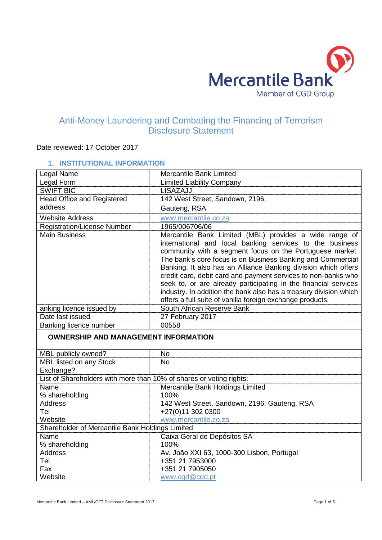

# Anti-Money Laundering and Combating the Financing of Terrorism Disclosure Statement

# Date reviewed: 17 October 2017

# **1. INSTITUTIONAL INFORMATION**

| Legal Name                                                          | Mercantile Bank Limited                                                                                                                                                                                                                                                                                                                                                                                                                                                                                                                                                               |
|---------------------------------------------------------------------|---------------------------------------------------------------------------------------------------------------------------------------------------------------------------------------------------------------------------------------------------------------------------------------------------------------------------------------------------------------------------------------------------------------------------------------------------------------------------------------------------------------------------------------------------------------------------------------|
| Legal Form                                                          | <b>Limited Liability Company</b>                                                                                                                                                                                                                                                                                                                                                                                                                                                                                                                                                      |
| <b>SWIFT BIC</b>                                                    | LISAZAJJ                                                                                                                                                                                                                                                                                                                                                                                                                                                                                                                                                                              |
| Head Office and Registered                                          | 142 West Street, Sandown, 2196,                                                                                                                                                                                                                                                                                                                                                                                                                                                                                                                                                       |
| address                                                             | Gauteng, RSA                                                                                                                                                                                                                                                                                                                                                                                                                                                                                                                                                                          |
| <b>Website Address</b>                                              | www.mercantile.co.za                                                                                                                                                                                                                                                                                                                                                                                                                                                                                                                                                                  |
| <b>Registration/License Number</b>                                  | 1965/006706/06                                                                                                                                                                                                                                                                                                                                                                                                                                                                                                                                                                        |
| <b>Main Business</b>                                                | Mercantile Bank Limited (MBL) provides a wide range of<br>international and local banking services to the business<br>community with a segment focus on the Portuguese market.<br>The bank's core focus is on Business Banking and Commercial<br>Banking. It also has an Alliance Banking division which offers<br>credit card, debit card and payment services to non-banks who<br>seek to, or are already participating in the financial services<br>industry. In addition the bank also has a treasury division which<br>offers a full suite of vanilla foreign exchange products. |
| anking licence issued by                                            | South African Reserve Bank                                                                                                                                                                                                                                                                                                                                                                                                                                                                                                                                                            |
| Date last issued                                                    | 27 February 2017                                                                                                                                                                                                                                                                                                                                                                                                                                                                                                                                                                      |
| Banking licence number                                              | 00558                                                                                                                                                                                                                                                                                                                                                                                                                                                                                                                                                                                 |
| <b>OWNERSHIP AND MANAGEMENT INFORMATION</b>                         |                                                                                                                                                                                                                                                                                                                                                                                                                                                                                                                                                                                       |
| MBL publicly owned?                                                 | <b>No</b>                                                                                                                                                                                                                                                                                                                                                                                                                                                                                                                                                                             |
| MBL listed on any Stock<br>Exchange?                                | <b>No</b>                                                                                                                                                                                                                                                                                                                                                                                                                                                                                                                                                                             |
| List of Shareholders with more than 10% of shares or voting rights: |                                                                                                                                                                                                                                                                                                                                                                                                                                                                                                                                                                                       |
| Name                                                                | Mercantile Bank Holdings Limited                                                                                                                                                                                                                                                                                                                                                                                                                                                                                                                                                      |
| % shareholding                                                      | 100%                                                                                                                                                                                                                                                                                                                                                                                                                                                                                                                                                                                  |
| <b>Address</b>                                                      | 142 West Street, Sandown, 2196, Gauteng, RSA                                                                                                                                                                                                                                                                                                                                                                                                                                                                                                                                          |
| Tel                                                                 | +27(0)11 302 0300                                                                                                                                                                                                                                                                                                                                                                                                                                                                                                                                                                     |
| Website                                                             | www.mercantile.co.za                                                                                                                                                                                                                                                                                                                                                                                                                                                                                                                                                                  |
| Shareholder of Mercantile Bank Holdings Limited                     |                                                                                                                                                                                                                                                                                                                                                                                                                                                                                                                                                                                       |
| Name                                                                | Caixa Geral de Depósitos SA                                                                                                                                                                                                                                                                                                                                                                                                                                                                                                                                                           |
| % shareholding                                                      | 100%                                                                                                                                                                                                                                                                                                                                                                                                                                                                                                                                                                                  |
| <b>Address</b>                                                      | Av. João XXI 63, 1000-300 Lisbon, Portugal                                                                                                                                                                                                                                                                                                                                                                                                                                                                                                                                            |
| Tel                                                                 | +351 21 7953000                                                                                                                                                                                                                                                                                                                                                                                                                                                                                                                                                                       |
| Fax                                                                 | +351 21 7905050                                                                                                                                                                                                                                                                                                                                                                                                                                                                                                                                                                       |
| Website                                                             | www.cgd@cgd.pt                                                                                                                                                                                                                                                                                                                                                                                                                                                                                                                                                                        |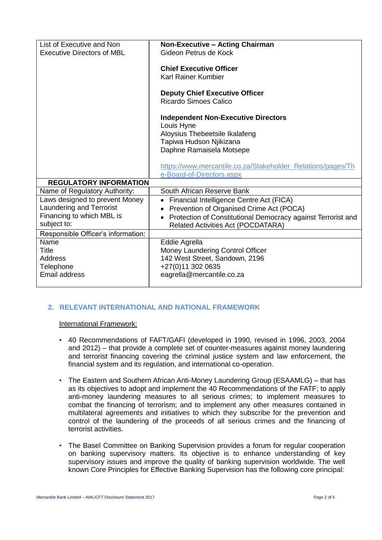| List of Executive and Non          | <b>Non-Executive - Acting Chairman</b>                       |
|------------------------------------|--------------------------------------------------------------|
| <b>Executive Directors of MBL</b>  | Gideon Petrus de Kock                                        |
|                                    |                                                              |
|                                    | <b>Chief Executive Officer</b>                               |
|                                    | Karl Rainer Kumbier                                          |
|                                    |                                                              |
|                                    | <b>Deputy Chief Executive Officer</b>                        |
|                                    | <b>Ricardo Simoes Calico</b>                                 |
|                                    |                                                              |
|                                    | <b>Independent Non-Executive Directors</b>                   |
|                                    | Louis Hyne                                                   |
|                                    | Aloysius Thebeetsile Ikalafeng                               |
|                                    | Tapiwa Hudson Njikizana                                      |
|                                    | Daphne Ramaisela Motsepe                                     |
|                                    |                                                              |
|                                    | https://www.mercantile.co.za/Stakeholder Relations/pages/Th  |
|                                    | e-Board-of-Directors.aspx                                    |
| <b>REGULATORY INFORMATION</b>      |                                                              |
| Name of Regulatory Authority:      | South African Reserve Bank                                   |
| Laws designed to prevent Money     | Financial Intelligence Centre Act (FICA)                     |
| Laundering and Terrorist           | Prevention of Organised Crime Act (POCA)                     |
| Financing to which MBL is          | Protection of Constitutional Democracy against Terrorist and |
| subject to:                        | <b>Related Activities Act (POCDATARA)</b>                    |
| Responsible Officer's information: |                                                              |
| Name                               | Eddie Agrella                                                |
| Title                              | Money Laundering Control Officer                             |
| <b>Address</b>                     | 142 West Street, Sandown, 2196                               |
| Telephone                          | +27(0)11 302 0635                                            |
| <b>Email address</b>               | eagrella@mercantile.co.za                                    |
|                                    |                                                              |
|                                    |                                                              |

# **2. RELEVANT INTERNATIONAL AND NATIONAL FRAMEWORK**

#### International Framework:

- 40 Recommendations of FAFT/GAFI (developed in 1990, revised in 1996, 2003, 2004 and 2012) – that provide a complete set of counter-measures against money laundering and terrorist financing covering the criminal justice system and law enforcement, the financial system and its regulation, and international co-operation.
- The Eastern and Southern African Anti-Money Laundering Group (ESAAMLG) that has as its objectives to adopt and implement the 40 Recommendations of the FATF; to apply anti-money laundering measures to all serious crimes; to implement measures to combat the financing of terrorism; and to implement any other measures contained in multilateral agreements and initiatives to which they subscribe for the prevention and control of the laundering of the proceeds of all serious crimes and the financing of terrorist activities.
- The Basel Committee on Banking Supervision provides a forum for regular cooperation on banking supervisory matters. Its objective is to enhance understanding of key supervisory issues and improve the quality of banking supervision worldwide. The well known Core Principles for Effective Banking Supervision has the following core principal: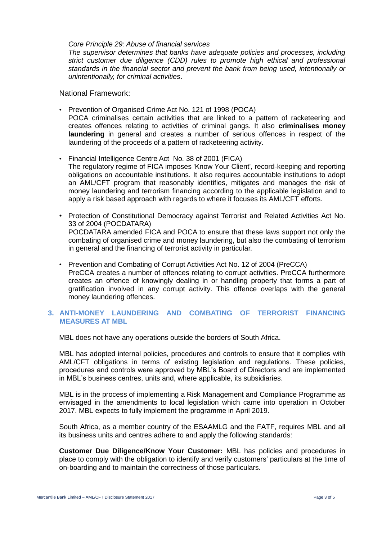#### *Core Principle 29: Abuse of financial services*

*The supervisor determines that banks have adequate policies and processes, including strict customer due diligence (CDD) rules to promote high ethical and professional standards in the financial sector and prevent the bank from being used, intentionally or unintentionally, for criminal activities*.

National Framework:

- Prevention of Organised Crime Act No. 121 of 1998 (POCA) POCA criminalises certain activities that are linked to a pattern of racketeering and creates offences relating to activities of criminal gangs. It also **criminalises money laundering** in general and creates a number of serious offences in respect of the laundering of the proceeds of a pattern of racketeering activity.
- Financial Intelligence Centre Act No. 38 of 2001 (FICA) The regulatory regime of FICA imposes 'Know Your Client', record-keeping and reporting obligations on accountable institutions. It also requires accountable institutions to adopt an AML/CFT program that reasonably identifies, mitigates and manages the risk of money laundering and terrorism financing according to the applicable legislation and to apply a risk based approach with regards to where it focuses its AML/CFT efforts.
- Protection of Constitutional Democracy against Terrorist and Related Activities Act No. 33 of 2004 (POCDATARA) POCDATARA amended FICA and POCA to ensure that these laws support not only the combating of organised crime and money laundering, but also the combating of terrorism in general and the financing of terrorist activity in particular.
- Prevention and Combating of Corrupt Activities Act No. 12 of 2004 (PreCCA) PreCCA creates a number of offences relating to corrupt activities. PreCCA furthermore creates an offence of knowingly dealing in or handling property that forms a part of gratification involved in any corrupt activity. This offence overlaps with the general money laundering offences.

## **3. ANTI-MONEY LAUNDERING AND COMBATING OF TERRORIST FINANCING MEASURES AT MBL**

MBL does not have any operations outside the borders of South Africa.

MBL has adopted internal policies, procedures and controls to ensure that it complies with AML/CFT obligations in terms of existing legislation and regulations. These policies, procedures and controls were approved by MBL's Board of Directors and are implemented in MBL's business centres, units and, where applicable, its subsidiaries.

MBL is in the process of implementing a Risk Management and Compliance Programme as envisaged in the amendments to local legislation which came into operation in October 2017. MBL expects to fully implement the programme in April 2019.

South Africa, as a member country of the ESAAMLG and the FATF, requires MBL and all its business units and centres adhere to and apply the following standards:

**Customer Due Diligence/Know Your Customer:** MBL has policies and procedures in place to comply with the obligation to identify and verify customers' particulars at the time of on-boarding and to maintain the correctness of those particulars.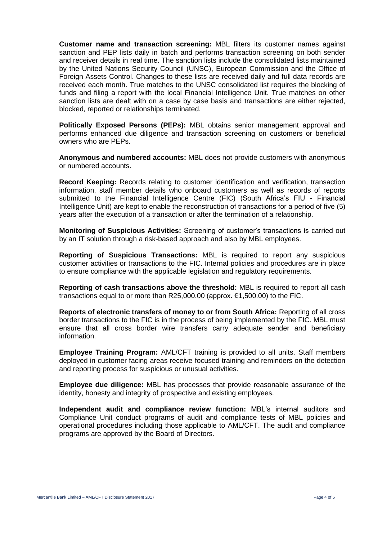**Customer name and transaction screening:** MBL filters its customer names against sanction and PEP lists daily in batch and performs transaction screening on both sender and receiver details in real time. The sanction lists include the consolidated lists maintained by the United Nations Security Council (UNSC), European Commission and the Office of Foreign Assets Control. Changes to these lists are received daily and full data records are received each month. True matches to the UNSC consolidated list requires the blocking of funds and filing a report with the local Financial Intelligence Unit. True matches on other sanction lists are dealt with on a case by case basis and transactions are either rejected, blocked, reported or relationships terminated.

**Politically Exposed Persons (PEPs):** MBL obtains senior management approval and performs enhanced due diligence and transaction screening on customers or beneficial owners who are PEPs.

**Anonymous and numbered accounts:** MBL does not provide customers with anonymous or numbered accounts.

**Record Keeping:** Records relating to customer identification and verification, transaction information, staff member details who onboard customers as well as records of reports submitted to the Financial Intelligence Centre (FIC) (South Africa's FIU - Financial Intelligence Unit) are kept to enable the reconstruction of transactions for a period of five (5) years after the execution of a transaction or after the termination of a relationship.

**Monitoring of Suspicious Activities:** Screening of customer's transactions is carried out by an IT solution through a risk-based approach and also by MBL employees.

**Reporting of Suspicious Transactions:** MBL is required to report any suspicious customer activities or transactions to the FIC. Internal policies and procedures are in place to ensure compliance with the applicable legislation and regulatory requirements.

**Reporting of cash transactions above the threshold:** MBL is required to report all cash transactions equal to or more than R25,000.00 (approx. €1,500.00) to the FIC.

**Reports of electronic transfers of money to or from South Africa:** Reporting of all cross border transactions to the FIC is in the process of being implemented by the FIC. MBL must ensure that all cross border wire transfers carry adequate sender and beneficiary information.

**Employee Training Program:** AML/CFT training is provided to all units. Staff members deployed in customer facing areas receive focused training and reminders on the detection and reporting process for suspicious or unusual activities.

**Employee due diligence:** MBL has processes that provide reasonable assurance of the identity, honesty and integrity of prospective and existing employees.

**Independent audit and compliance review function:** MBL's internal auditors and Compliance Unit conduct programs of audit and compliance tests of MBL policies and operational procedures including those applicable to AML/CFT. The audit and compliance programs are approved by the Board of Directors.